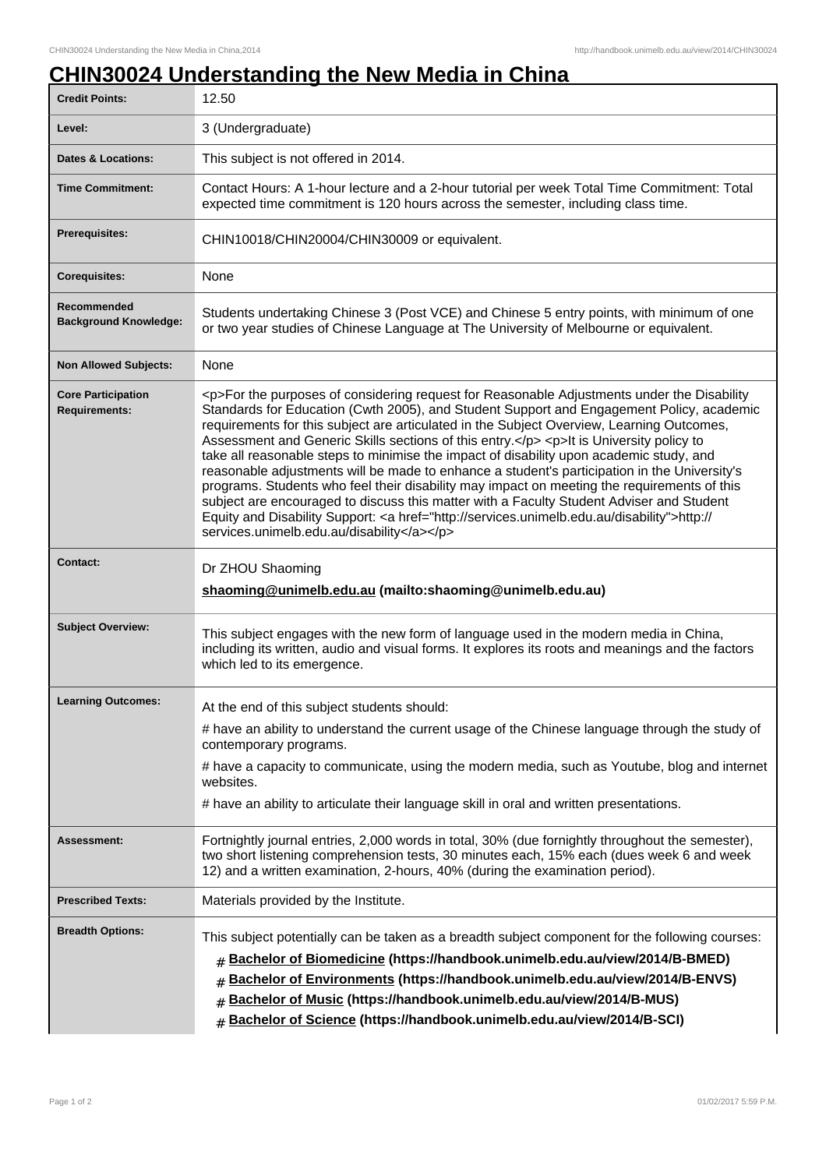## **CHIN30024 Understanding the New Media in China**

| <b>Credit Points:</b>                             | 12.50                                                                                                                                                                                                                                                                                                                                                                                                                                                                                                                                                                                                                                                                                                                                                                                                                                                                                                                        |
|---------------------------------------------------|------------------------------------------------------------------------------------------------------------------------------------------------------------------------------------------------------------------------------------------------------------------------------------------------------------------------------------------------------------------------------------------------------------------------------------------------------------------------------------------------------------------------------------------------------------------------------------------------------------------------------------------------------------------------------------------------------------------------------------------------------------------------------------------------------------------------------------------------------------------------------------------------------------------------------|
| Level:                                            | 3 (Undergraduate)                                                                                                                                                                                                                                                                                                                                                                                                                                                                                                                                                                                                                                                                                                                                                                                                                                                                                                            |
| <b>Dates &amp; Locations:</b>                     | This subject is not offered in 2014.                                                                                                                                                                                                                                                                                                                                                                                                                                                                                                                                                                                                                                                                                                                                                                                                                                                                                         |
| <b>Time Commitment:</b>                           | Contact Hours: A 1-hour lecture and a 2-hour tutorial per week Total Time Commitment: Total<br>expected time commitment is 120 hours across the semester, including class time.                                                                                                                                                                                                                                                                                                                                                                                                                                                                                                                                                                                                                                                                                                                                              |
| Prerequisites:                                    | CHIN10018/CHIN20004/CHIN30009 or equivalent.                                                                                                                                                                                                                                                                                                                                                                                                                                                                                                                                                                                                                                                                                                                                                                                                                                                                                 |
| <b>Corequisites:</b>                              | None                                                                                                                                                                                                                                                                                                                                                                                                                                                                                                                                                                                                                                                                                                                                                                                                                                                                                                                         |
| Recommended<br><b>Background Knowledge:</b>       | Students undertaking Chinese 3 (Post VCE) and Chinese 5 entry points, with minimum of one<br>or two year studies of Chinese Language at The University of Melbourne or equivalent.                                                                                                                                                                                                                                                                                                                                                                                                                                                                                                                                                                                                                                                                                                                                           |
| <b>Non Allowed Subjects:</b>                      | None                                                                                                                                                                                                                                                                                                                                                                                                                                                                                                                                                                                                                                                                                                                                                                                                                                                                                                                         |
| <b>Core Participation</b><br><b>Requirements:</b> | <p>For the purposes of considering request for Reasonable Adjustments under the Disability<br/>Standards for Education (Cwth 2005), and Student Support and Engagement Policy, academic<br/>requirements for this subject are articulated in the Subject Overview, Learning Outcomes,<br/>Assessment and Generic Skills sections of this entry.</p> <p>It is University policy to<br/>take all reasonable steps to minimise the impact of disability upon academic study, and<br/>reasonable adjustments will be made to enhance a student's participation in the University's<br/>programs. Students who feel their disability may impact on meeting the requirements of this<br/>subject are encouraged to discuss this matter with a Faculty Student Adviser and Student<br/>Equity and Disability Support: &lt; a href="http://services.unimelb.edu.au/disability"&gt;http://<br/>services.unimelb.edu.au/disability</p> |
| <b>Contact:</b>                                   | Dr ZHOU Shaoming<br>shaoming@unimelb.edu.au (mailto:shaoming@unimelb.edu.au)                                                                                                                                                                                                                                                                                                                                                                                                                                                                                                                                                                                                                                                                                                                                                                                                                                                 |
| <b>Subject Overview:</b>                          | This subject engages with the new form of language used in the modern media in China,<br>including its written, audio and visual forms. It explores its roots and meanings and the factors<br>which led to its emergence.                                                                                                                                                                                                                                                                                                                                                                                                                                                                                                                                                                                                                                                                                                    |
| <b>Learning Outcomes:</b>                         | At the end of this subject students should:                                                                                                                                                                                                                                                                                                                                                                                                                                                                                                                                                                                                                                                                                                                                                                                                                                                                                  |
|                                                   | # have an ability to understand the current usage of the Chinese language through the study of<br>contemporary programs.                                                                                                                                                                                                                                                                                                                                                                                                                                                                                                                                                                                                                                                                                                                                                                                                     |
|                                                   | # have a capacity to communicate, using the modern media, such as Youtube, blog and internet<br>websites.                                                                                                                                                                                                                                                                                                                                                                                                                                                                                                                                                                                                                                                                                                                                                                                                                    |
|                                                   | # have an ability to articulate their language skill in oral and written presentations.                                                                                                                                                                                                                                                                                                                                                                                                                                                                                                                                                                                                                                                                                                                                                                                                                                      |
| <b>Assessment:</b>                                | Fortnightly journal entries, 2,000 words in total, 30% (due fornightly throughout the semester),<br>two short listening comprehension tests, 30 minutes each, 15% each (dues week 6 and week<br>12) and a written examination, 2-hours, 40% (during the examination period).                                                                                                                                                                                                                                                                                                                                                                                                                                                                                                                                                                                                                                                 |
| <b>Prescribed Texts:</b>                          | Materials provided by the Institute.                                                                                                                                                                                                                                                                                                                                                                                                                                                                                                                                                                                                                                                                                                                                                                                                                                                                                         |
| <b>Breadth Options:</b>                           | This subject potentially can be taken as a breadth subject component for the following courses:<br>Bachelor of Biomedicine (https://handbook.unimelb.edu.au/view/2014/B-BMED)<br>#<br>Bachelor of Environments (https://handbook.unimelb.edu.au/view/2014/B-ENVS)<br>#<br>Bachelor of Music (https://handbook.unimelb.edu.au/view/2014/B-MUS)<br>#<br>Bachelor of Science (https://handbook.unimelb.edu.au/view/2014/B-SCI)                                                                                                                                                                                                                                                                                                                                                                                                                                                                                                  |